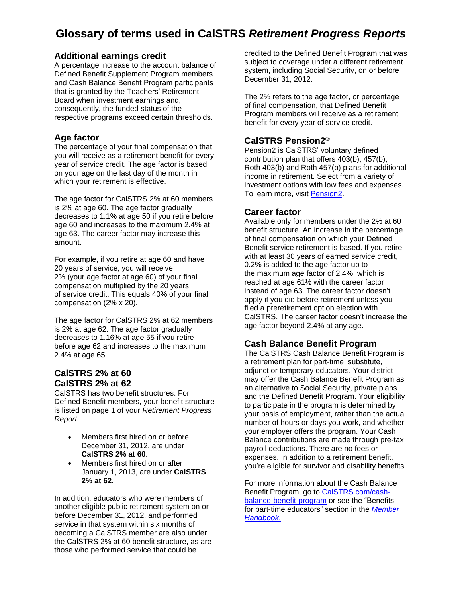# **Glossary of terms used in CalSTRS** *Retirement Progress Reports*

### **Additional earnings credit**

A percentage increase to the account balance of Defined Benefit Supplement Program members and Cash Balance Benefit Program participants that is granted by the Teachers' Retirement Board when investment earnings and, consequently, the funded status of the respective programs exceed certain thresholds.

### **Age factor**

The percentage of your final compensation that you will receive as a retirement benefit for every year of service credit. The age factor is based on your age on the last day of the month in which your retirement is effective.

The age factor for CalSTRS 2% at 60 members is 2% at age 60. The age factor gradually decreases to 1.1% at age 50 if you retire before age 60 and increases to the maximum 2.4% at age 63. The career factor may increase this amount.

For example, if you retire at age 60 and have 20 years of service, you will receive 2% (your age factor at age 60) of your final compensation multiplied by the 20 years of service credit. This equals 40% of your final compensation (2% x 20).

The age factor for CalSTRS 2% at 62 members is 2% at age 62. The age factor gradually decreases to 1.16% at age 55 if you retire before age 62 and increases to the maximum 2.4% at age 65.

# **CalSTRS 2% at 60 CalSTRS 2% at 62**

CalSTRS has two benefit structures. For Defined Benefit members, your benefit structure is listed on page 1 of your *Retirement Progress Report.*

- Members first hired on or before December 31, 2012, are under **CalSTRS 2% at 60**.
- Members first hired on or after January 1, 2013, are under **CalSTRS 2% at 62**.

In addition, educators who were members of another eligible public retirement system on or before December 31, 2012, and performed service in that system within six months of becoming a CalSTRS member are also under the CalSTRS 2% at 60 benefit structure, as are those who performed service that could be

credited to the Defined Benefit Program that was subject to coverage under a different retirement system, including Social Security, on or before December 31, 2012.

The 2% refers to the age factor, or percentage of final compensation, that Defined Benefit Program members will receive as a retirement benefit for every year of service credit.

# **CalSTRS Pension2®**

Pension2 is CalSTRS' voluntary defined contribution plan that offers 403(b), 457(b), Roth 403(b) and Roth 457(b) plans for additional income in retirement. Select from a variety of investment options with low fees and expenses. To learn more, visit [Pension2.](http://www.calstrs.com/pension2)

### **Career factor**

Available only for members under the 2% at 60 benefit structure. An increase in the percentage of final compensation on which your Defined Benefit service retirement is based. If you retire with at least 30 years of earned service credit, 0.2% is added to the age factor up to the maximum age factor of 2.4%, which is reached at age 61½ with the career factor instead of age 63. The career factor doesn't apply if you die before retirement unless you filed a preretirement option election with CalSTRS. The career factor doesn't increase the age factor beyond 2.4% at any age.

# **Cash Balance Benefit Program**

The CalSTRS Cash Balance Benefit Program is a retirement plan for part-time, substitute, adjunct or temporary educators. Your district may offer the Cash Balance Benefit Program as an alternative to Social Security, private plans and the Defined Benefit Program. Your eligibility to participate in the program is determined by your basis of employment, rather than the actual number of hours or days you work, and whether your employer offers the program. Your Cash Balance contributions are made through pre-tax payroll deductions. There are no fees or expenses. In addition to a retirement benefit, you're eligible for survivor and disability benefits.

For more information about the Cash Balance Benefit Program, go to [CalSTRS.com/cash](http://www.calstrs.com/cash-balance-benefit-program)[balance-benefit-program](http://www.calstrs.com/cash-balance-benefit-program) or see the "Benefits for part-time educators" section in the *[Member](http://www.calstrs.com/calstrs-member-handbook)  [Handbook](http://www.calstrs.com/calstrs-member-handbook)*.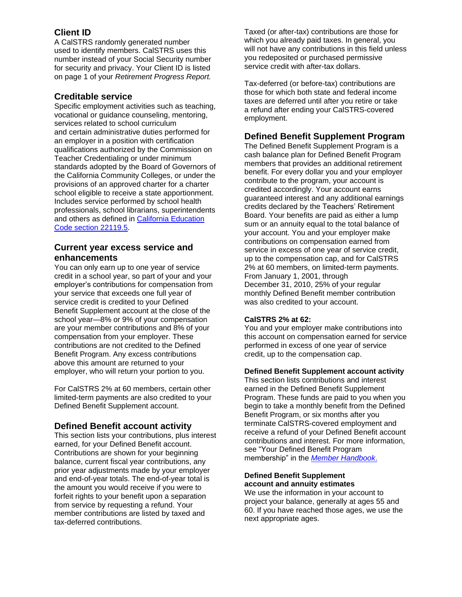# **Client ID**

A CalSTRS randomly generated number used to identify members. CalSTRS uses this number instead of your Social Security number for security and privacy. Your Client ID is listed on page 1 of your *Retirement Progress Report.*

# **Creditable service**

Specific employment activities such as teaching, vocational or guidance counseling, mentoring, services related to school curriculum and certain administrative duties performed for an employer in a position with certification qualifications authorized by the Commission on Teacher Credentialing or under minimum standards adopted by the Board of Governors of the California Community Colleges, or under the provisions of an approved charter for a charter school eligible to receive a state apportionment. Includes service performed by school health professionals, school librarians, superintendents and others as defined in California [Education](http://leginfo.legislature.ca.gov/faces/codes_displaySection.xhtml?lawCode=EDC§ionNum=22119.5.)  [Code section](http://leginfo.legislature.ca.gov/faces/codes_displaySection.xhtml?lawCode=EDC§ionNum=22119.5.) 22119.5.

### **Current year excess service and enhancements**

You can only earn up to one year of service credit in a school year, so part of your and your employer's contributions for compensation from your service that exceeds one full year of service credit is credited to your Defined Benefit Supplement account at the close of the school year—8% or 9% of your compensation are your member contributions and 8% of your compensation from your employer. These contributions are not credited to the Defined Benefit Program. Any excess contributions above this amount are returned to your employer, who will return your portion to you.

For CalSTRS 2% at 60 members, certain other limited-term payments are also credited to your Defined Benefit Supplement account.

# **Defined Benefit account activity**

This section lists your contributions, plus interest earned, for your Defined Benefit account. Contributions are shown for your beginning balance, current fiscal year contributions, any prior year adjustments made by your employer and end-of-year totals. The end-of-year total is the amount you would receive if you were to forfeit rights to your benefit upon a separation from service by requesting a refund. Your member contributions are listed by taxed and tax-deferred contributions.

Taxed (or after-tax) contributions are those for which you already paid taxes. In general, you will not have any contributions in this field unless you redeposited or purchased permissive service credit with after-tax dollars.

Tax-deferred (or before-tax) contributions are those for which both state and federal income taxes are deferred until after you retire or take a refund after ending your CalSTRS-covered employment.

# **Defined Benefit Supplement Program**

The Defined Benefit Supplement Program is a cash balance plan for Defined Benefit Program members that provides an additional retirement benefit. For every dollar you and your employer contribute to the program, your account is credited accordingly. Your account earns guaranteed interest and any additional earnings credits declared by the Teachers' Retirement Board. Your benefits are paid as either a lump sum or an annuity equal to the total balance of your account. You and your employer make contributions on compensation earned from service in excess of one year of service credit, up to the compensation cap, and for CalSTRS 2% at 60 members, on limited-term payments. From January 1, 2001, through December 31, 2010, 25% of your regular monthly Defined Benefit member contribution was also credited to your account.

#### **CalSTRS 2% at 62:**

You and your employer make contributions into this account on compensation earned for service performed in excess of one year of service credit, up to the compensation cap.

#### **Defined Benefit Supplement account activity**

This section lists contributions and interest earned in the Defined Benefit Supplement Program. These funds are paid to you when you begin to take a monthly benefit from the Defined Benefit Program, or six months after you terminate CalSTRS-covered employment and receive a refund of your Defined Benefit account contributions and interest. For more information, see "Your Defined Benefit Program membership" in the *[Member Handbook](http://www.calstrs.com/calstrs-member-handbook)*.

#### **Defined Benefit Supplement account and annuity estimates**

We use the information in your account to project your balance, generally at ages 55 and 60. If you have reached those ages, we use the next appropriate ages.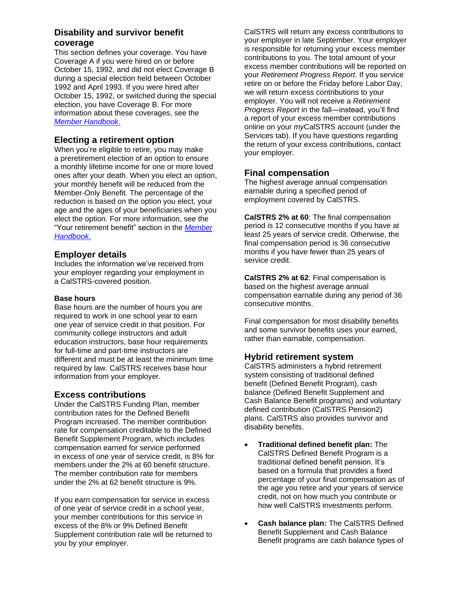### **Disability and survivor benefit coverage**

This section defines your coverage. You have Coverage A if you were hired on or before October 15, 1992, and did not elect Coverage B during a special election held between October 1992 and April 1993. If you were hired after October 15, 1992, or switched during the special election, you have Coverage B. For more information about these coverages, see the *[Member Handbook](http://www.calstrs.com/calstrs-member-handbook)*.

### **Electing a retirement option**

When you're eligible to retire, you may make a preretirement election of an option to ensure a monthly lifetime income for one or more loved ones after your death. When you elect an option, your monthly benefit will be reduced from the Member-Only Benefit. The percentage of the reduction is based on the option you elect, your age and the ages of your beneficiaries when you elect the option. For more information, see the "Your retirement benefit" section in the *[Member](http://www.calstrs.com/calstrs-member-handbook) [Handbook](http://www.calstrs.com/calstrs-member-handbook)*.

### **Employer details**

Includes the information we've received from your employer regarding your employment in a CalSTRS-covered position.

#### **Base hours**

Base hours are the number of hours you are required to work in one school year to earn one year of service credit in that position. For community college instructors and adult education instructors, base hour requirements for full-time and part-time instructors are different and must be at least the minimum time required by law. CalSTRS receives base hour information from your employer.

### **Excess contributions**

Under the CalSTRS Funding Plan, member contribution rates for the Defined Benefit Program increased. The member contribution rate for compensation creditable to the Defined Benefit Supplement Program, which includes compensation earned for service performed in excess of one year of service credit, is 8% for members under the 2% at 60 benefit structure. The member contribution rate for members under the 2% at 62 benefit structure is 9%.

If you earn compensation for service in excess of one year of service credit in a school year, your member contributions for this service in excess of the 8% or 9% Defined Benefit Supplement contribution rate will be returned to you by your employer.

CalSTRS will return any excess contributions to your employer in late September. Your employer is responsible for returning your excess member contributions to you. The total amount of your excess member contributions will be reported on your *Retirement Progress Report*. If you service retire on or before the Friday before Labor Day, we will return excess contributions to your employer. You will not receive a *Retirement Progress Report* in the fall—instead, you'll find a report of your excess member contributions online on your *my*CalSTRS account (under the Services tab). If you have questions regarding the return of your excess contributions, contact your employer.

### **Final compensation**

The highest average annual compensation earnable during a specified period of employment covered by CalSTRS.

**CalSTRS 2% at 60**: The final compensation period is 12 consecutive months if you have at least 25 years of service credit. Otherwise, the final compensation period is 36 consecutive months if you have fewer than 25 years of service credit.

**CalSTRS 2% at 62**: Final compensation is based on the highest average annual compensation earnable during any period of 36 consecutive months.

Final compensation for most disability benefits and some survivor benefits uses your earned, rather than earnable, compensation.

# **Hybrid retirement system**

CalSTRS administers a hybrid retirement system consisting of traditional defined benefit (Defined Benefit Program), cash balance (Defined Benefit Supplement and Cash Balance Benefit programs) and voluntary defined contribution (CalSTRS Pension2) plans. CalSTRS also provides survivor and disability benefits.

- **Traditional defined benefit plan:** The CalSTRS Defined Benefit Program is a traditional defined benefit pension. It's based on a formula that provides a fixed percentage of your final compensation as of the age you retire and your years of service credit, not on how much you contribute or how well CalSTRS investments perform.
- **Cash balance plan:** The CalSTRS Defined Benefit Supplement and Cash Balance Benefit programs are cash balance types of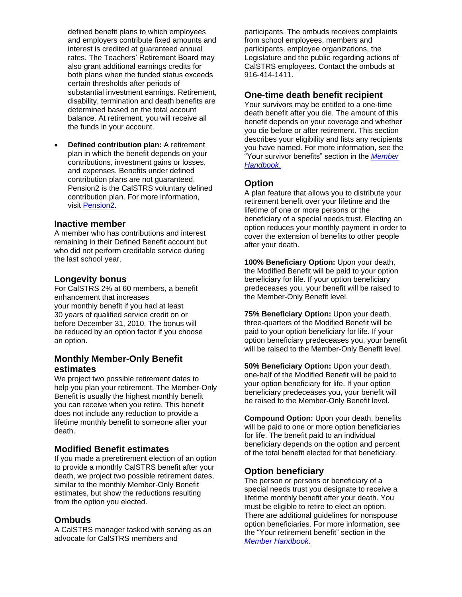defined benefit plans to which employees and employers contribute fixed amounts and interest is credited at guaranteed annual rates. The Teachers' Retirement Board may also grant additional earnings credits for both plans when the funded status exceeds certain thresholds after periods of substantial investment earnings. Retirement, disability, termination and death benefits are determined based on the total account balance. At retirement, you will receive all the funds in your account.

• **Defined contribution plan:** A retirement plan in which the benefit depends on your contributions, investment gains or losses, and expenses. Benefits under defined contribution plans are not guaranteed. Pension2 is the CalSTRS voluntary defined contribution plan. For more information, visit [Pension2.](http://www.pension2.com/)

#### **Inactive member**

A member who has contributions and interest remaining in their Defined Benefit account but who did not perform creditable service during the last school year.

#### **Longevity bonus**

For CalSTRS 2% at 60 members, a benefit enhancement that increases your monthly benefit if you had at least 30 years of qualified service credit on or before December 31, 2010. The bonus will be reduced by an option factor if you choose an option.

### **Monthly Member-Only Benefit estimates**

We project two possible retirement dates to help you plan your retirement. The Member-Only Benefit is usually the highest monthly benefit you can receive when you retire. This benefit does not include any reduction to provide a lifetime monthly benefit to someone after your death.

### **Modified Benefit estimates**

If you made a preretirement election of an option to provide a monthly CalSTRS benefit after your death, we project two possible retirement dates, similar to the monthly Member-Only Benefit estimates, but show the reductions resulting from the option you elected.

#### **Ombuds**

A CalSTRS manager tasked with serving as an advocate for CalSTRS members and

participants. The ombuds receives complaints from school employees, members and participants, employee organizations, the Legislature and the public regarding actions of CalSTRS employees. Contact the ombuds at 916-414-1411.

#### **One-time death benefit recipient**

Your survivors may be entitled to a one-time death benefit after you die. The amount of this benefit depends on your coverage and whether you die before or after retirement. This section describes your eligibility and lists any recipients you have named. For more information, see the "Your survivor benefits" section in the *[Member](http://www.calstrs.com/calstrs-member-handbook)  [Handbook](http://www.calstrs.com/calstrs-member-handbook)*.

#### **Option**

A plan feature that allows you to distribute your retirement benefit over your lifetime and the lifetime of one or more persons or the beneficiary of a special needs trust. Electing an option reduces your monthly payment in order to cover the extension of benefits to other people after your death.

**100% Beneficiary Option:** Upon your death, the Modified Benefit will be paid to your option beneficiary for life. If your option beneficiary predeceases you, your benefit will be raised to the Member-Only Benefit level.

**75% Beneficiary Option:** Upon your death, three-quarters of the Modified Benefit will be paid to your option beneficiary for life. If your option beneficiary predeceases you, your benefit will be raised to the Member-Only Benefit level.

**50% Beneficiary Option:** Upon your death, one-half of the Modified Benefit will be paid to your option beneficiary for life. If your option beneficiary predeceases you, your benefit will be raised to the Member-Only Benefit level.

**Compound Option:** Upon your death, benefits will be paid to one or more option beneficiaries for life. The benefit paid to an individual beneficiary depends on the option and percent of the total benefit elected for that beneficiary.

#### **Option beneficiary**

The person or persons or beneficiary of a special needs trust you designate to receive a lifetime monthly benefit after your death. You must be eligible to retire to elect an option. There are additional guidelines for nonspouse option beneficiaries. For more information, see the "Your retirement benefit" section in the *[Member Handbook](http://www.calstrs.com/calstrs-member-handbook)*.